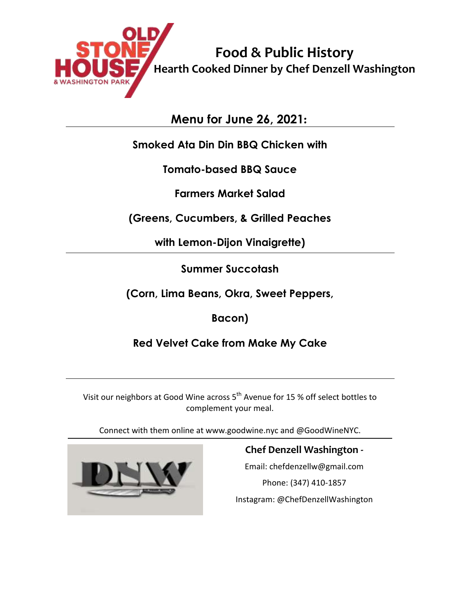

**Food & Public History Hearth Cooked Dinner by Chef Denzell Washington**

**Menu for June 26, 2021:**

### **Smoked Ata Din Din BBQ Chicken with**

**Tomato-based BBQ Sauce** 

**Farmers Market Salad** 

**(Greens, Cucumbers, & Grilled Peaches** 

**with Lemon-Dijon Vinaigrette)**

**Summer Succotash** 

**(Corn, Lima Beans, Okra, Sweet Peppers,** 

**Bacon)**

**Red Velvet Cake from Make My Cake**

Visit our neighbors at Good Wine across 5<sup>th</sup> Avenue for 15 % off select bottles to complement your meal.

Connect with them online at www.goodwine.nyc and @GoodWineNYC.



# **Chef Denzell Washington -**

Email: chefdenzellw@gmail.com Phone: (347) 410-1857 Instagram: @ChefDenzellWashington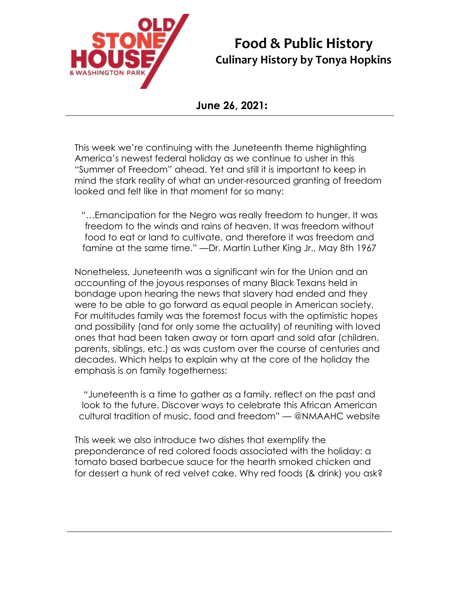

## **Food & Public History Culinary History by Tonya Hopkins**

#### **June 26, 2021:**

This week we're continuing with the Juneteenth theme highlighting America's newest federal holiday as we continue to usher in this "Summer of Freedom" ahead. Yet and still it is important to keep in mind the stark reality of what an under-resourced granting of freedom looked and felt like in that moment for so many:

"…Emancipation for the Negro was really freedom to hunger. It was freedom to the winds and rains of heaven. It was freedom without food to eat or land to cultivate, and therefore it was freedom and famine at the same time." —Dr. Martin Luther King Jr., May 8th 1967

Nonetheless, Juneteenth was a significant win for the Union and an accounting of the joyous responses of many Black Texans held in bondage upon hearing the news that slavery had ended and they were to be able to go forward as equal people in American society. For multitudes family was the foremost focus with the optimistic hopes and possibility (and for only some the actuality) of reuniting with loved ones that had been taken away or torn apart and sold afar (children, parents, siblings, etc.) as was custom over the course of centuries and decades. Which helps to explain why at the core of the holiday the emphasis is on family togetherness:

"Juneteenth is a time to gather as a family, reflect on the past and look to the future. Discover ways to celebrate this African American cultural tradition of music, food and freedom" — @NMAAHC website

This week we also introduce two dishes that exemplify the preponderance of red colored foods associated with the holiday: a tomato based barbecue sauce for the hearth smoked chicken and for dessert a hunk of red velvet cake. Why red foods (& drink) you ask?